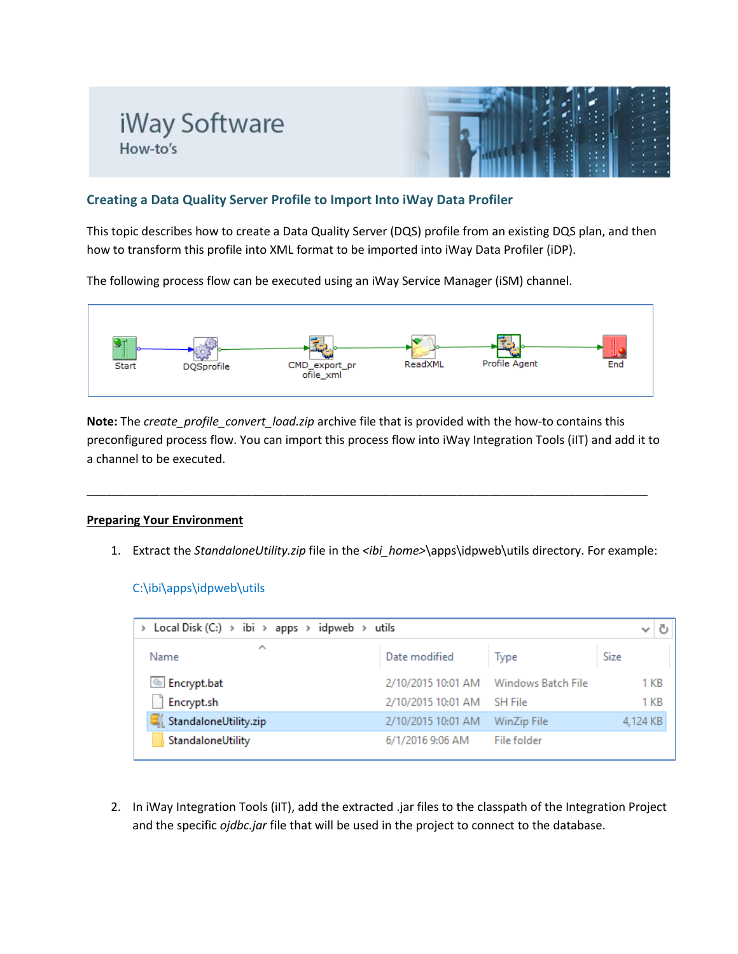



## **Creating a Data Quality Server Profile to Import Into iWay Data Profiler**

This topic describes how to create a Data Quality Server (DQS) profile from an existing DQS plan, and then how to transform this profile into XML format to be imported into iWay Data Profiler (iDP).

The following process flow can be executed using an iWay Service Manager (iSM) channel.



**Note:** The *create profile convert load.zip* archive file that is provided with the how-to contains this preconfigured process flow. You can import this process flow into iWay Integration Tools (iIT) and add it to a channel to be executed.

\_\_\_\_\_\_\_\_\_\_\_\_\_\_\_\_\_\_\_\_\_\_\_\_\_\_\_\_\_\_\_\_\_\_\_\_\_\_\_\_\_\_\_\_\_\_\_\_\_\_\_\_\_\_\_\_\_\_\_\_\_\_\_\_\_\_\_\_\_\_\_\_\_\_\_\_\_\_\_\_\_\_\_\_\_

### **Preparing Your Environment**

1. Extract the *StandaloneUtility.zip* file in the *<ibi\_home>*\apps\idpweb\utils directory. For example:

### C:\ibi\apps\idpweb\utils

| Local Disk (C:) > ibi > apps > idpweb > utils |                    |                    | Ō<br>$\checkmark$ |
|-----------------------------------------------|--------------------|--------------------|-------------------|
| ∧<br>Name                                     | Date modified      | Type               | Size              |
| <b>S</b> Encrypt.bat                          | 2/10/2015 10:01 AM | Windows Batch File | 1 KB              |
| Encrypt.sh                                    | 2/10/2015 10:01 AM | <b>SH File</b>     | 1 KB              |
| StandaloneUtility.zip                         | 2/10/2015 10:01 AM | WinZip File        | 4,124 KB          |
| StandaloneUtility                             | 6/1/2016 9:06 AM   | File folder        |                   |

2. In iWay Integration Tools (iIT), add the extracted .jar files to the classpath of the Integration Project and the specific *ojdbc.jar* file that will be used in the project to connect to the database.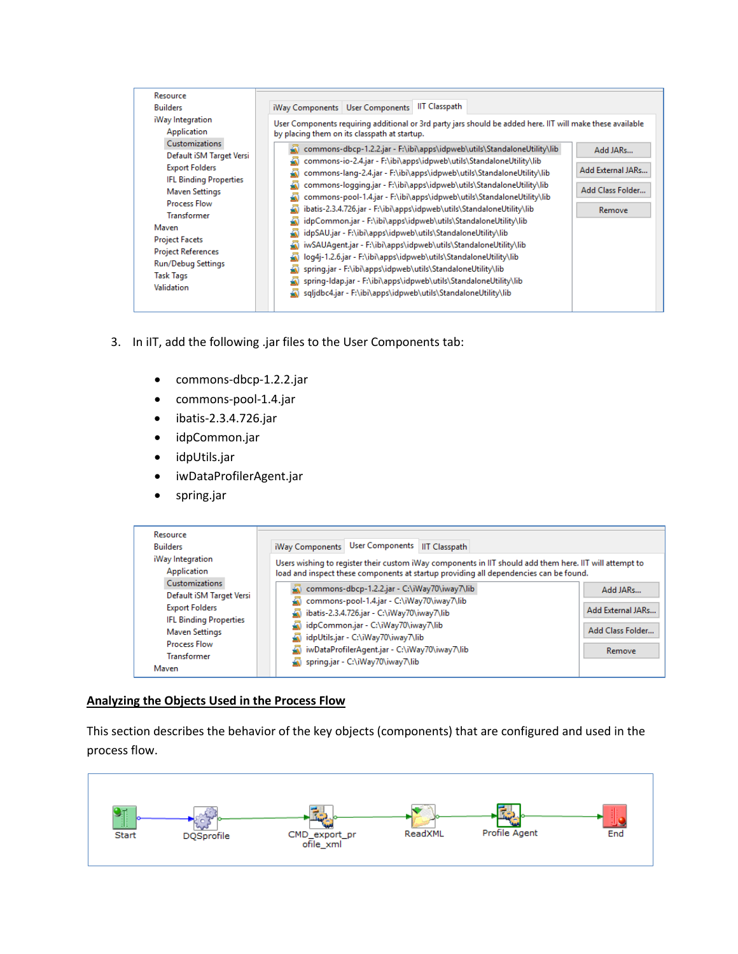| Resource                                                                                                                                                                                                                                                                                                                                    | <b>IIT Classpath</b>                                                                                                                                                                                                                                                                                                                                                                                                                                                                                                                                                                                                                                                                                                                                                                                                                                                                                                                                                                                                                                                                                                                                       |
|---------------------------------------------------------------------------------------------------------------------------------------------------------------------------------------------------------------------------------------------------------------------------------------------------------------------------------------------|------------------------------------------------------------------------------------------------------------------------------------------------------------------------------------------------------------------------------------------------------------------------------------------------------------------------------------------------------------------------------------------------------------------------------------------------------------------------------------------------------------------------------------------------------------------------------------------------------------------------------------------------------------------------------------------------------------------------------------------------------------------------------------------------------------------------------------------------------------------------------------------------------------------------------------------------------------------------------------------------------------------------------------------------------------------------------------------------------------------------------------------------------------|
| <b>Builders</b>                                                                                                                                                                                                                                                                                                                             | iWay Components   User Components                                                                                                                                                                                                                                                                                                                                                                                                                                                                                                                                                                                                                                                                                                                                                                                                                                                                                                                                                                                                                                                                                                                          |
| iWay Integration<br>Application<br><b>Customizations</b><br>Default iSM Target Versi<br><b>Export Folders</b><br><b>IFL Binding Properties</b><br><b>Maven Settings</b><br><b>Process Flow</b><br><b>Transformer</b><br>Maven<br><b>Project Facets</b><br><b>Project References</b><br>Run/Debug Settings<br><b>Task Tags</b><br>Validation | User Components requiring additional or 3rd party jars should be added here. IIT will make these available<br>by placing them on its classpath at startup.<br>commons-dbcp-1.2.2.jar - F:\ibi\apps\idpweb\utils\StandaloneUtility\lib<br>Add JARs<br>commons-io-2.4.jar - F:\ibi\apps\idpweb\utils\StandaloneUtility\lib<br>Add External JARs<br>commons-lang-2.4.jar - F:\ibi\apps\idpweb\utils\StandaloneUtility\lib<br>commons-logging.jar - F:\ibi\apps\idpweb\utils\StandaloneUtility\lib<br>Add Class Folder<br>commons-pool-1.4.jar - F:\ibi\apps\idpweb\utils\StandaloneUtility\lib<br>ibatis-2.3.4.726.jar - F:\ibi\apps\idpweb\utils\StandaloneUtility\lib<br>Remove<br>idpCommon.jar - F:\ibi\apps\idpweb\utils\StandaloneUtility\lib<br>idpSAU.jar - F:\ibi\apps\idpweb\utils\StandaloneUtility\lib<br>iwSAUAgent.jar - F:\ibi\apps\idpweb\utils\StandaloneUtility\lib<br>loq4j-1.2.6.jar - F:\ibi\apps\idpweb\utils\StandaloneUtility\lib<br>spring.jar - F:\ibi\apps\idpweb\utils\StandaloneUtility\lib<br>spring-Idap.jar - F:\ibi\apps\idpweb\utils\StandaloneUtility\lib<br>sqljdbc4.jar - F:\ibi\apps\idpweb\utils\StandaloneUtility\lib |

- 3. In iIT, add the following .jar files to the User Components tab:
	- commons-dbcp-1.2.2.jar
	- commons-pool-1.4.jar
	- ibatis-2.3.4.726.jar
	- idpCommon.jar
	- idpUtils.jar
	- iwDataProfilerAgent.jar
	- spring.jar



### **Analyzing the Objects Used in the Process Flow**

This section describes the behavior of the key objects (components) that are configured and used in the process flow.

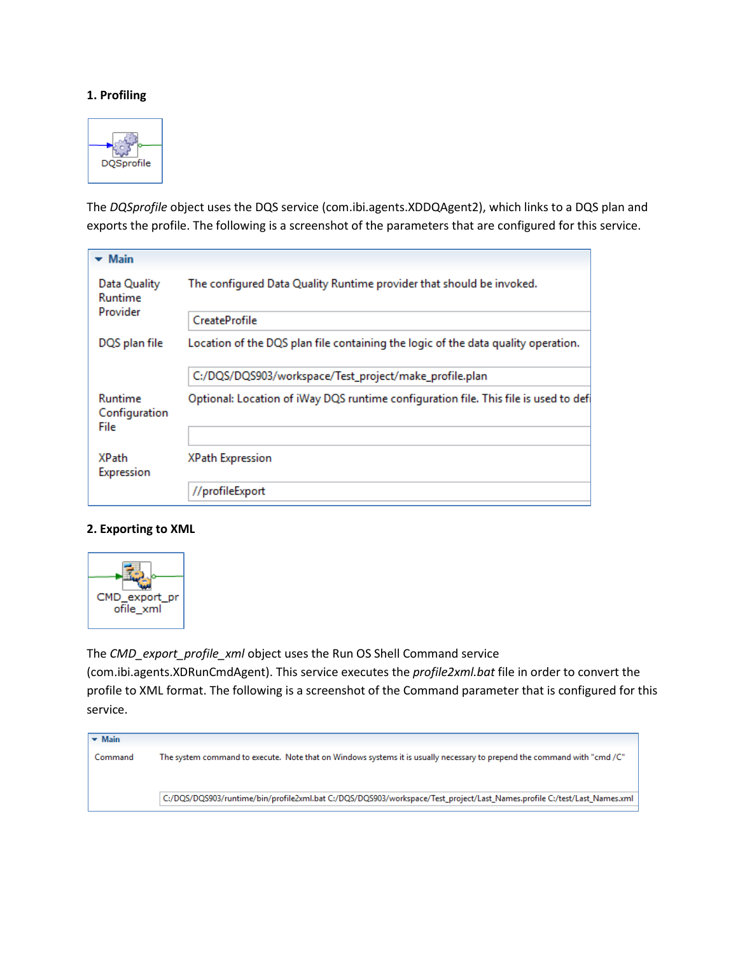#### **1. Profiling**



The *DQSprofile* object uses the DQS service (com.ibi.agents.XDDQAgent2), which links to a DQS plan and exports the profile. The following is a screenshot of the parameters that are configured for this service.

| $\blacktriangleright$ Main          |                                                                                     |
|-------------------------------------|-------------------------------------------------------------------------------------|
| Data Quality<br>Runtime<br>Provider | The configured Data Quality Runtime provider that should be invoked.                |
|                                     | CreateProfile                                                                       |
| DQS plan file                       | Location of the DQS plan file containing the logic of the data quality operation.   |
|                                     | C:/DQS/DQS903/workspace/Test_project/make_profile.plan                              |
| Runtime<br>Configuration<br>File    | Optional: Location of iWay DQS runtime configuration file. This file is used to def |
|                                     |                                                                                     |
| <b>XPath</b><br>Expression          | <b>XPath Expression</b>                                                             |
|                                     | //profileExport                                                                     |

#### **2. Exporting to XML**



The *CMD\_export\_profile\_xml* object uses the Run OS Shell Command service

(com.ibi.agents.XDRunCmdAgent). This service executes the *profile2xml.bat* file in order to convert the profile to XML format. The following is a screenshot of the Command parameter that is configured for this service.

| $\blacktriangleright$ Main |                                                                                                                          |
|----------------------------|--------------------------------------------------------------------------------------------------------------------------|
| Command                    | The system command to execute. Note that on Windows systems it is usually necessary to prepend the command with "cmd /C" |
|                            |                                                                                                                          |
|                            |                                                                                                                          |
|                            | C:/DQS/DQS903/runtime/bin/profile2xml.bat C:/DQS/DQS903/workspace/Test_project/Last_Names.profile C:/test/Last_Names.xml |
|                            |                                                                                                                          |